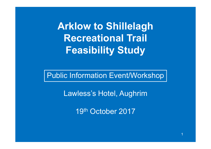**A kl <sup>r</sup> ow t Shill l h to Shillelagh Recreational Trail Feasibility Study**

Public Information Event/Workshop

Lawless's Hotel, Aughrim

19th October 2017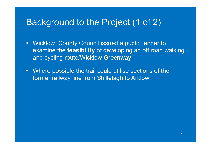# Background to the Project (1 of 2)

- Wicklow County Council issued a public tender to examine the **feasibility** of developing an off road walking and cycling route/Wicklow Greenway
- Where possible the trail could utilise sections of the former railway line from Shillelagh to Arklow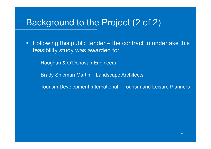#### Background to the Project (2 of 2)

- Following this public tender – the contract to undertake this feasibility study was awarded to:
	- Roughan & O'Donovan Engineers
	- Brady Shipman Martin – Landscape Architects
	- Tourism Development International Tourism and Leisure Planner s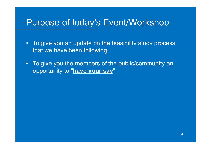# Purpose of today's Event/Workshop

- To give you an update on the feasibility study process that we have been following
- To give you the members of the public/community an opportunity to "**have your say** "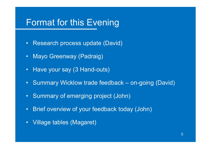#### Format for this Evening

- Research process update (David)
- Mayo Greenway (Padraig)
- Have your say (3 Hand-outs)
- Summary Wicklow trade feedback on-going (David)
- Summary of emerging project (John)
- •Brief overview of your feedback today (John)
- Village tables (Magaret)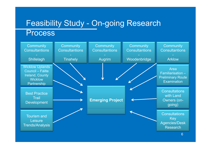#### Feasibility Study - On-going Research **Process**

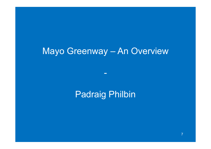# Mayo Greenway – An Overview

#### Padraig Philbin

-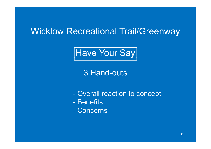## Wicklow Recreational Trail/Greenway



3 Hand -outs

- Overall reaction to concept
- Benefits
- Concerns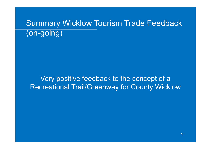# Summary Wicklow Tourism Trade Feedback (on-going)

Very positive feedback to the concept of a Recreational Trail/Greenway for County Wicklow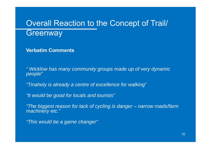#### Overall Reaction to the Concept of Trail/ **Greenway**

**Verbatim Comments**

*" Wicklow has many community groups made up of very dynamic people" people*

*"Tinahely is already a centre of excellence for walking"*

*"It would be good for locals and tourists"*

*"The biggest reason for lack of cycling is danger – narrow roads/farm machinery etc. "*

*"This would be a game changer"*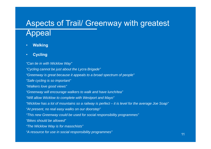#### Aspects of Trail/ Greenway with greatest Appeal

- •**Walking**
- •**Cycling**

*"Can tie in with Wicklow Way" "Cycling cannot be just about the Lycra Brigade"* "Greenway is great because it appeals to a broad spectrum of people" *"Safe cycling is so important" "Walkers love good views"* "Greenway will encourage walkers to walk and have lunch/tea" *"Will allow Wicklow to complete with Westport and Mayo" "Wicklow has a lot of mountains so a railway is perfect – it is level for the average Joe Soap" "At t l lk d t " "At present, no real easy walks on our doorstep "This new Greenway could be used for social responsibility programmes" "Bikes should be allowed" "Th Wi kl W i f hi t " "The Wicklow Way is for masochists "A resource for use in social responsibility programmes"*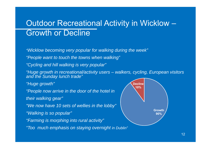#### Outdoor Recreational Activity in Wicklow Growth or Decline

*"Wicklow becoming very popular for walking during the week"*

*"People want to touch the towns when walking" People touch walking*

*"Cycling and hill walking is very popular"*

*"Hugg y <sup>e</sup> growth in recreational/activity users – walkers, cyg p clin g, European visitors and the Sunday lunch trade "*

*"Huge growth"*

*"People now arrive in the door of the hotel in People*

*their walking gear"*

*"We now have 10 sets of wellie s in the lobby"*

*"Walking is so popular"*

*"Farming is morphing into rural activity"*

*"Too much emphasis on staying overnight in Dublin"*

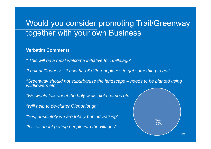#### Would you consider promoting Trail/Greenway together with your own Business

#### **Verbatim Comments**

*" This will be a most welcome initiative for Shillelagh"* 

*"Look at Tinahely – it now has 5 different places to get something to eat"*

*"Greenway should not suburbanise the landscape – needs to be planted using wildflowers etc."*

*"We would talk about the holy wells, field names etc."*

*"Will help to de -clutter Glendaloug h "*

*"Yes, absolutely we are totally behind walking"*

*"I i ll b i l i h ill "It is all a bout getting people into the villages "*

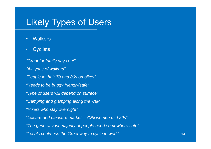## Likely Types of Users

- •**Walkers**
- •**Cyclists**

*"Great for family days out" "All types of walkers" "People in their 70 and 80s on bikes" "Needs to be buggy friendly/safe" "Type of users will depend on surface ""Camping and glamping along the way" "Hik h t i ht" "Hikers who s tay overnight" "Leisure and pleasure market – 70% women mid 20s" "The general vast majority of people need somewhere safe" The "Locals could use the Greenway to cycle to work"*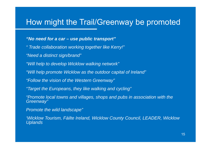#### How might the Trail/Greenway be promoted

#### *"No need for a car – use p p ublic transport "*

- *" Trade collaboration working together like Kerry!"*
- *"Need a distinct sign/brand "*
- *"Will help to develop Wicklow walking network"*
- *"Will helpp p romote Wicklow as the outdoor ca pital of Ireland "*
- *"Follow the vision of the Western Greenway"*
- *"Target the Europeans, they like walking and cycling"*
- *"Promote local towns and villages, shops and pubs in association with the Greenway"*
- *P t th ild l d " Promo te the wild lan dscape*
- *'Wicklow Tourism, Fáilte Ireland, Wicklow County Council, LEADER, Wicklow Uplands*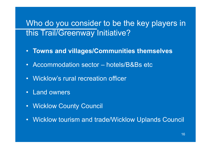#### Who do you consider to be the key players in this Trail/Greenway Initiative?

- **Towns and villages/Communities themselves**
- Accommodation sector hotels/B&Bs etc
- Wicklow's rural recreation officer
- Land owners
- Wicklow County Council
- Wicklow tourism and trade/Wicklow Uplands Council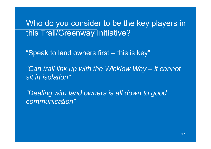Who do you consider to be the key players in this Trail/Greenway Initiative?

"Speak to land owners first – this is key"

*"Can trail link up with the Wicklow Way – it cannot sit in isolation"*

"Dealing with land owners is all down to good *communication"*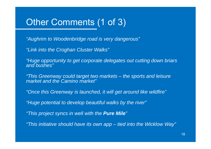# Other Comments (1 of 3)

*"Aughrim to Woodenbridge road is very dangerous" dangerous*

*"Link into the Croghan Cluster Walks"*

*"Huge opportunity to get corporate delegates out cutting down briars and bushes"*

*"Thi G ld t t t k t "This Greenway could targe two marke ts – th t d l i the sports an le isure market and the Camino market"*

"Once this Greenway is launched, it will get around like wildfire"

*"Huge potential to develop beautiful walks by the river"*

*"This project syncs in well with the Pure Mile "*

*"This initiative should have its own app This initiative should have its own app – tied into the Wicklow Way"*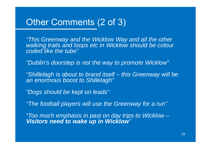#### Other Comments (2 of 3)

"This Greenway and the Wicklow Way and all the other *walking trails and loops etc in Wicklow should be colour coded like the tube"*

*"Dublin's doorstep is not the way to promote Wicklow"*

*"Shillelagh is about to brand itself Shillelagh about – this Greenway will be an enormous boost to Shillelagh"*

*"Dogs should be kept on leads" Dogs leads*

*"The football players will use the Greenway for a run"*

*"Too much emphasis in past on day trips to Wicklow – Visitors need to wake up in Wicklow "*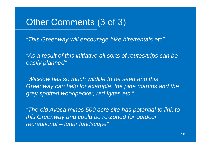#### Other Comments (3 of 3)

*"This Greenway will encourage bike hire/rentals etc" This etc*

"As a result of this initiative all sorts of routes/trips can be *easily planned"*

*"Wicklow has so much wildlife to be seen and this Greenway can help for example: the pine martins and the grey spotted woodpecker, red kytes etc."* 

"The old Avoca mines 500 acre site has potential to link to *this Greenway and could be re-zoned for outdoor recreational –lunar landscape" landscape*